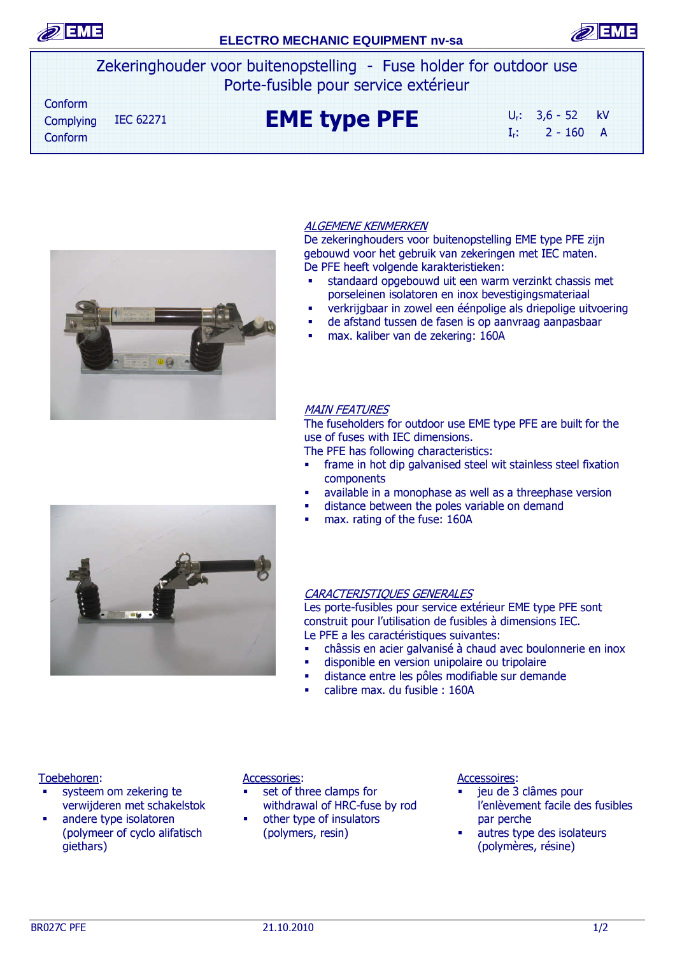

## **ELECTRO MECHANIC EQUIPMENT nv-sa**



Zekeringhouder voor buitenopstelling - Fuse holder for outdoor use Porte-fusible pour service extérieur

 Conform IEC 62271 **EME type PFE** Ur: 3,6 - 52 kV  $I_r$ : 2 - 160 A Complying Conform



### ALGEMENE KENMERKEN

De zekeringhouders voor buitenopstelling EME type PFE zijn gebouwd voor het gebruik van zekeringen met IEC maten. De PFE heeft volgende karakteristieken:

- standaard opgebouwd uit een warm verzinkt chassis met porseleinen isolatoren en inox bevestigingsmateriaal
- verkrijgbaar in zowel een éénpolige als driepolige uitvoering
- de afstand tussen de fasen is op aanvraag aanpasbaar
- max. kaliber van de zekering: 160A

#### MAIN FEATURES

The fuseholders for outdoor use EME type PFE are built for the use of fuses with IEC dimensions.

The PFE has following characteristics:

- **frame in hot dip galvanised steel wit stainless steel fixation** components
- available in a monophase as well as a threephase version
- distance between the poles variable on demand
- max. rating of the fuse: 160A

#### CARACTERISTIQUES GENERALES

Les porte-fusibles pour service extérieur EME type PFE sont construit pour l'utilisation de fusibles à dimensions IEC. Le PFE a les caractéristiques suivantes:

- châssis en acier galvanisé à chaud avec boulonnerie en inox
- disponible en version unipolaire ou tripolaire
- distance entre les pôles modifiable sur demande
- calibre max. du fusible : 160A

#### Toebehoren:

- systeem om zekering te verwijderen met schakelstok
- andere type isolatoren (polymeer of cyclo alifatisch giethars)

#### Accessories:

- set of three clamps for withdrawal of HRC-fuse by rod
- other type of insulators (polymers, resin)

#### Accessoires:

- jeu de 3 clâmes pour l'enlèvement facile des fusibles par perche
- autres type des isolateurs (polymères, résine)